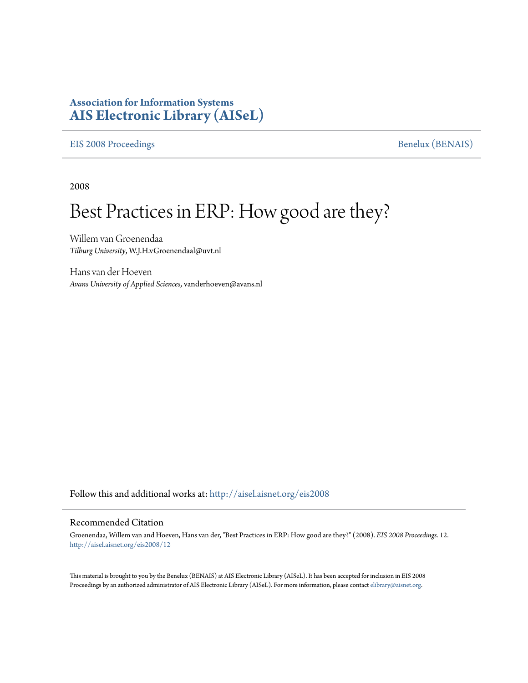## **Association for Information Systems [AIS Electronic Library \(AISeL\)](http://aisel.aisnet.org?utm_source=aisel.aisnet.org%2Feis2008%2F12&utm_medium=PDF&utm_campaign=PDFCoverPages)**

[EIS 2008 Proceedings](http://aisel.aisnet.org/eis2008?utm_source=aisel.aisnet.org%2Feis2008%2F12&utm_medium=PDF&utm_campaign=PDFCoverPages) [Benelux \(BENAIS\)](http://aisel.aisnet.org/benais?utm_source=aisel.aisnet.org%2Feis2008%2F12&utm_medium=PDF&utm_campaign=PDFCoverPages)

2008

# Best Practices in ERP: How good are they?

Willem van Groenendaa *Tilburg University*, W.J.H.vGroenendaal@uvt.nl

Hans van der Hoeven *Avans University of Applied Sciences*, vanderhoeven@avans.nl

Follow this and additional works at: [http://aisel.aisnet.org/eis2008](http://aisel.aisnet.org/eis2008?utm_source=aisel.aisnet.org%2Feis2008%2F12&utm_medium=PDF&utm_campaign=PDFCoverPages)

#### Recommended Citation

Groenendaa, Willem van and Hoeven, Hans van der, "Best Practices in ERP: How good are they?" (2008). *EIS 2008 Proceedings*. 12. [http://aisel.aisnet.org/eis2008/12](http://aisel.aisnet.org/eis2008/12?utm_source=aisel.aisnet.org%2Feis2008%2F12&utm_medium=PDF&utm_campaign=PDFCoverPages)

This material is brought to you by the Benelux (BENAIS) at AIS Electronic Library (AISeL). It has been accepted for inclusion in EIS 2008 Proceedings by an authorized administrator of AIS Electronic Library (AISeL). For more information, please contact [elibrary@aisnet.org](mailto:elibrary@aisnet.org%3E).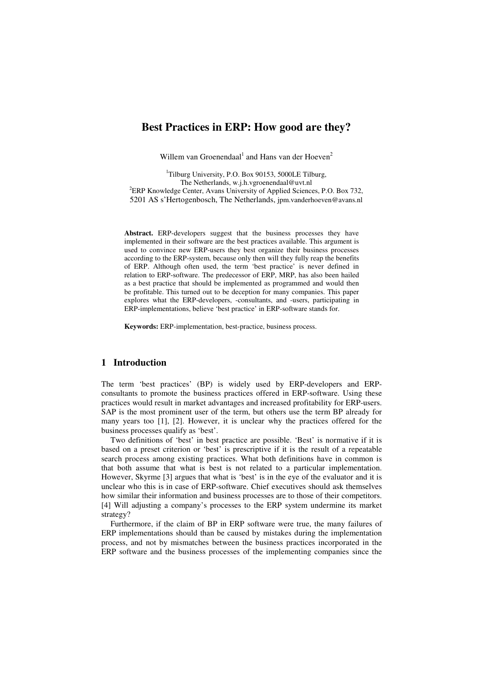### **Best Practices in ERP: How good are they?**

Willem van Groenendaal<sup>1</sup> and Hans van der Hoeven<sup>2</sup>

 $1$ Tilburg University, P.O. Box 90153, 5000LE Tilburg, The Netherlands, w.j.h.vgroenendaal@uvt.nl <sup>2</sup>ERP Knowledge Center, Avans University of Applied Sciences, P.O. Box 732, 5201 AS s'Hertogenbosch, The Netherlands, jpm.vanderhoeven@avans.nl

**Abstract.** ERP-developers suggest that the business processes they have implemented in their software are the best practices available. This argument is used to convince new ERP-users they best organize their business processes according to the ERP-system, because only then will they fully reap the benefits of ERP. Although often used, the term 'best practice' is never defined in relation to ERP-software. The predecessor of ERP, MRP, has also been hailed as a best practice that should be implemented as programmed and would then be profitable. This turned out to be deception for many companies. This paper explores what the ERP-developers, -consultants, and -users, participating in ERP-implementations, believe 'best practice' in ERP-software stands for.

**Keywords:** ERP-implementation, best-practice, business process.

#### **1 Introduction**

The term 'best practices' (BP) is widely used by ERP-developers and ERPconsultants to promote the business practices offered in ERP-software. Using these practices would result in market advantages and increased profitability for ERP-users. SAP is the most prominent user of the term, but others use the term BP already for many years too [1], [2]. However, it is unclear why the practices offered for the business processes qualify as 'best'.

Two definitions of 'best' in best practice are possible. 'Best' is normative if it is based on a preset criterion or 'best' is prescriptive if it is the result of a repeatable search process among existing practices. What both definitions have in common is that both assume that what is best is not related to a particular implementation. However, Skyrme [3] argues that what is 'best' is in the eye of the evaluator and it is unclear who this is in case of ERP-software. Chief executives should ask themselves how similar their information and business processes are to those of their competitors. [4] Will adjusting a company's processes to the ERP system undermine its market strategy?

Furthermore, if the claim of BP in ERP software were true, the many failures of ERP implementations should than be caused by mistakes during the implementation process, and not by mismatches between the business practices incorporated in the ERP software and the business processes of the implementing companies since the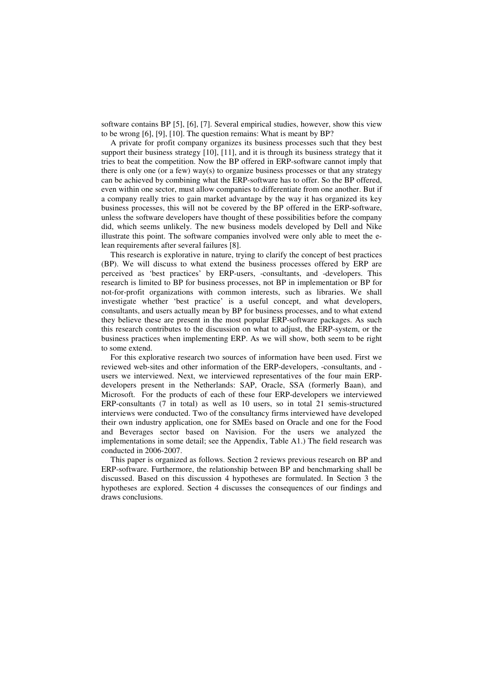software contains BP [5], [6], [7]. Several empirical studies, however, show this view to be wrong [6], [9], [10]. The question remains: What is meant by BP?

A private for profit company organizes its business processes such that they best support their business strategy [10], [11], and it is through its business strategy that it tries to beat the competition. Now the BP offered in ERP-software cannot imply that there is only one (or a few) way(s) to organize business processes or that any strategy can be achieved by combining what the ERP-software has to offer. So the BP offered, even within one sector, must allow companies to differentiate from one another. But if a company really tries to gain market advantage by the way it has organized its key business processes, this will not be covered by the BP offered in the ERP-software, unless the software developers have thought of these possibilities before the company did, which seems unlikely. The new business models developed by Dell and Nike illustrate this point. The software companies involved were only able to meet the elean requirements after several failures [8].

This research is explorative in nature, trying to clarify the concept of best practices (BP). We will discuss to what extend the business processes offered by ERP are perceived as 'best practices' by ERP-users, -consultants, and -developers. This research is limited to BP for business processes, not BP in implementation or BP for not-for-profit organizations with common interests, such as libraries. We shall investigate whether 'best practice' is a useful concept, and what developers, consultants, and users actually mean by BP for business processes, and to what extend they believe these are present in the most popular ERP-software packages. As such this research contributes to the discussion on what to adjust, the ERP-system, or the business practices when implementing ERP. As we will show, both seem to be right to some extend.

For this explorative research two sources of information have been used. First we reviewed web-sites and other information of the ERP-developers, -consultants, and users we interviewed. Next, we interviewed representatives of the four main ERPdevelopers present in the Netherlands: SAP, Oracle, SSA (formerly Baan), and Microsoft. For the products of each of these four ERP-developers we interviewed ERP-consultants (7 in total) as well as 10 users, so in total 21 semis-structured interviews were conducted. Two of the consultancy firms interviewed have developed their own industry application, one for SMEs based on Oracle and one for the Food and Beverages sector based on Navision. For the users we analyzed the implementations in some detail; see the Appendix, Table A1.) The field research was conducted in 2006-2007.

This paper is organized as follows. Section 2 reviews previous research on BP and ERP-software. Furthermore, the relationship between BP and benchmarking shall be discussed. Based on this discussion 4 hypotheses are formulated. In Section 3 the hypotheses are explored. Section 4 discusses the consequences of our findings and draws conclusions.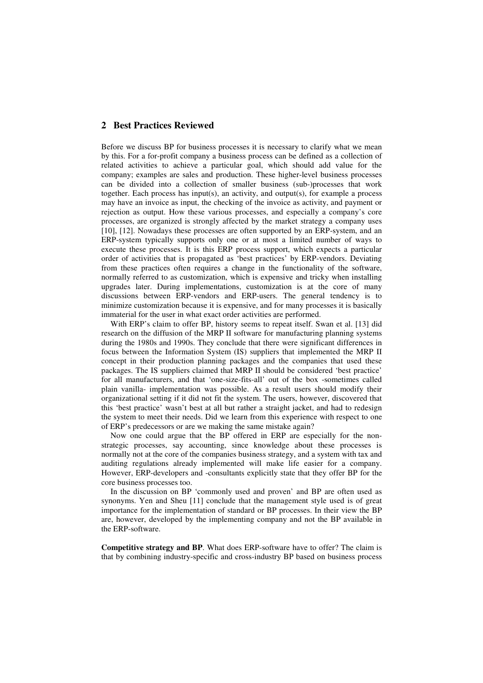#### **2 Best Practices Reviewed**

Before we discuss BP for business processes it is necessary to clarify what we mean by this. For a for-profit company a business process can be defined as a collection of related activities to achieve a particular goal, which should add value for the company; examples are sales and production. These higher-level business processes can be divided into a collection of smaller business (sub-)processes that work together. Each process has input(s), an activity, and output(s), for example a process may have an invoice as input, the checking of the invoice as activity, and payment or rejection as output. How these various processes, and especially a company's core processes, are organized is strongly affected by the market strategy a company uses [10], [12]. Nowadays these processes are often supported by an ERP-system, and an ERP-system typically supports only one or at most a limited number of ways to execute these processes. It is this ERP process support, which expects a particular order of activities that is propagated as 'best practices' by ERP-vendors. Deviating from these practices often requires a change in the functionality of the software, normally referred to as customization, which is expensive and tricky when installing upgrades later. During implementations, customization is at the core of many discussions between ERP-vendors and ERP-users. The general tendency is to minimize customization because it is expensive, and for many processes it is basically immaterial for the user in what exact order activities are performed.

With ERP's claim to offer BP, history seems to repeat itself. Swan et al. [13] did research on the diffusion of the MRP II software for manufacturing planning systems during the 1980s and 1990s. They conclude that there were significant differences in focus between the Information System (IS) suppliers that implemented the MRP II concept in their production planning packages and the companies that used these packages. The IS suppliers claimed that MRP II should be considered 'best practice' for all manufacturers, and that 'one-size-fits-all' out of the box -sometimes called plain vanilla- implementation was possible. As a result users should modify their organizational setting if it did not fit the system. The users, however, discovered that this 'best practice' wasn't best at all but rather a straight jacket, and had to redesign the system to meet their needs. Did we learn from this experience with respect to one of ERP's predecessors or are we making the same mistake again?

Now one could argue that the BP offered in ERP are especially for the nonstrategic processes, say accounting, since knowledge about these processes is normally not at the core of the companies business strategy, and a system with tax and auditing regulations already implemented will make life easier for a company. However, ERP-developers and -consultants explicitly state that they offer BP for the core business processes too.

In the discussion on BP 'commonly used and proven' and BP are often used as synonyms. Yen and Sheu [11] conclude that the management style used is of great importance for the implementation of standard or BP processes. In their view the BP are, however, developed by the implementing company and not the BP available in the ERP-software.

**Competitive strategy and BP**. What does ERP-software have to offer? The claim is that by combining industry-specific and cross-industry BP based on business process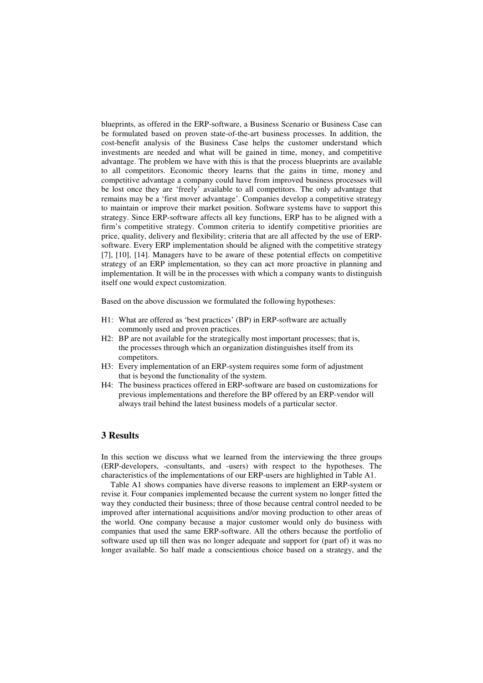blueprints, as offered in the ERP-software, a Business Scenario or Business Case can be formulated based on proven state-of-the-art business processes. In addition, the cost-benefit analysis of the Business Case helps the customer understand which investments are needed and what will be gained in time, money, and competitive advantage. The problem we have with this is that the process blueprints are available to all competitors. Economic theory learns that the gains in time, money and competitive advantage a company could have from improved business processes will be lost once they are 'freely' available to all competitors. The only advantage that remains may be a 'first mover advantage'. Companies develop a competitive strategy to maintain or improve their market position. Software systems have to support this strategy. Since ERP-software affects all key functions, ERP has to be aligned with a firm's competitive strategy. Common criteria to identify competitive priorities are price, quality, delivery and flexibility; criteria that are all affected by the use of ERPsoftware. Every ERP implementation should be aligned with the competitive strategy [7], [10], [14]. Managers have to be aware of these potential effects on competitive strategy of an ERP implementation, so they can act more proactive in planning and implementation. It will be in the processes with which a company wants to distinguish itself one would expect customization.

Based on the above discussion we formulated the following hypotheses:

- H1: What are offered as 'best practices' (BP) in ERP-software are actually commonly used and proven practices.
- H2: BP are not available for the strategically most important processes; that is, the processes through which an organization distinguishes itself from its competitors.
- H3: Every implementation of an ERP-system requires some form of adjustment that is beyond the functionality of the system.
- H4: The business practices offered in ERP-software are based on customizations for previous implementations and therefore the BP offered by an ERP-vendor will always trail behind the latest business models of a particular sector.

#### **3 Results**

In this section we discuss what we learned from the interviewing the three groups (ERP-developers, -consultants, and -users) with respect to the hypotheses. The characteristics of the implementations of our ERP-users are highlighted in Table A1.

Table A1 shows companies have diverse reasons to implement an ERP-system or revise it. Four companies implemented because the current system no longer fitted the way they conducted their business; three of those because central control needed to be improved after international acquisitions and/or moving production to other areas of the world. One company because a major customer would only do business with companies that used the same ERP-software. All the others because the portfolio of software used up till then was no longer adequate and support for (part of) it was no longer available. So half made a conscientious choice based on a strategy, and the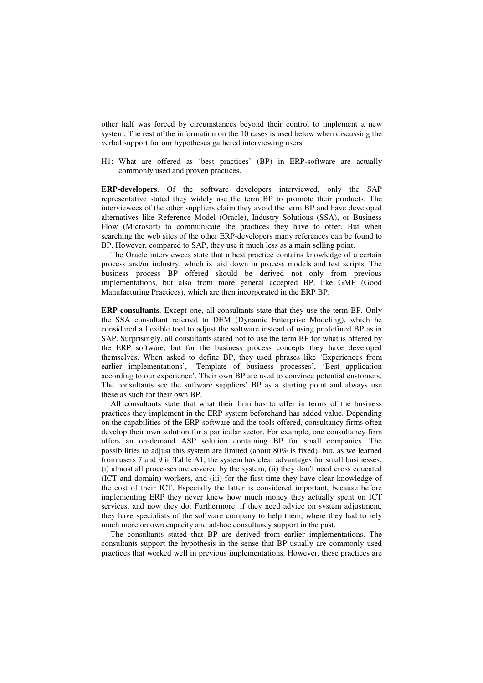other half was forced by circumstances beyond their control to implement a new system. The rest of the information on the 10 cases is used below when discussing the verbal support for our hypotheses gathered interviewing users.

H1: What are offered as 'best practices' (BP) in ERP-software are actually commonly used and proven practices.

**ERP-developers**. Of the software developers interviewed, only the SAP representative stated they widely use the term BP to promote their products. The interviewees of the other suppliers claim they avoid the term BP and have developed alternatives like Reference Model (Oracle), Industry Solutions (SSA), or Business Flow (Microsoft) to communicate the practices they have to offer. But when searching the web sites of the other ERP-developers many references can be found to BP. However, compared to SAP, they use it much less as a main selling point.

The Oracle interviewees state that a best practice contains knowledge of a certain process and/or industry, which is laid down in process models and test scripts. The business process BP offered should be derived not only from previous implementations, but also from more general accepted BP, like GMP (Good Manufacturing Practices), which are then incorporated in the ERP BP.

**ERP-consultants**. Except one, all consultants state that they use the term BP. Only the SSA consultant referred to DEM (Dynamic Enterprise Modeling), which he considered a flexible tool to adjust the software instead of using predefined BP as in SAP. Surprisingly, all consultants stated not to use the term BP for what is offered by the ERP software, but for the business process concepts they have developed themselves. When asked to define BP, they used phrases like 'Experiences from earlier implementations', 'Template of business processes', 'Best application according to our experience'. Their own BP are used to convince potential customers. The consultants see the software suppliers' BP as a starting point and always use these as such for their own BP.

All consultants state that what their firm has to offer in terms of the business practices they implement in the ERP system beforehand has added value. Depending on the capabilities of the ERP-software and the tools offered, consultancy firms often develop their own solution for a particular sector. For example, one consultancy firm offers an on-demand ASP solution containing BP for small companies. The possibilities to adjust this system are limited (about 80% is fixed), but, as we learned from users 7 and 9 in Table A1, the system has clear advantages for small businesses; (i) almost all processes are covered by the system, (ii) they don't need cross educated (ICT and domain) workers, and (iii) for the first time they have clear knowledge of the cost of their ICT. Especially the latter is considered important, because before implementing ERP they never knew how much money they actually spent on ICT services, and now they do. Furthermore, if they need advice on system adjustment, they have specialists of the software company to help them, where they had to rely much more on own capacity and ad-hoc consultancy support in the past.

The consultants stated that BP are derived from earlier implementations. The consultants support the hypothesis in the sense that BP usually are commonly used practices that worked well in previous implementations. However, these practices are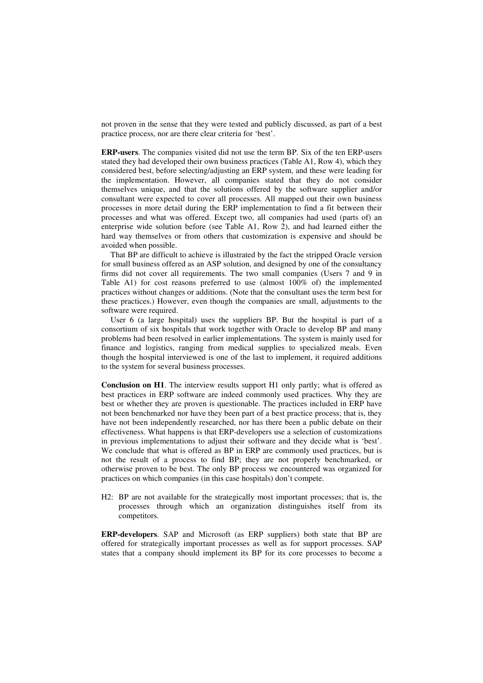not proven in the sense that they were tested and publicly discussed, as part of a best practice process, nor are there clear criteria for 'best'.

**ERP-users**. The companies visited did not use the term BP. Six of the ten ERP-users stated they had developed their own business practices (Table A1, Row 4), which they considered best, before selecting/adjusting an ERP system, and these were leading for the implementation. However, all companies stated that they do not consider themselves unique, and that the solutions offered by the software supplier and/or consultant were expected to cover all processes. All mapped out their own business processes in more detail during the ERP implementation to find a fit between their processes and what was offered. Except two, all companies had used (parts of) an enterprise wide solution before (see Table A1, Row 2), and had learned either the hard way themselves or from others that customization is expensive and should be avoided when possible.

That BP are difficult to achieve is illustrated by the fact the stripped Oracle version for small business offered as an ASP solution, and designed by one of the consultancy firms did not cover all requirements. The two small companies (Users 7 and 9 in Table A1) for cost reasons preferred to use (almost 100% of) the implemented practices without changes or additions. (Note that the consultant uses the term best for these practices.) However, even though the companies are small, adjustments to the software were required.

User 6 (a large hospital) uses the suppliers BP. But the hospital is part of a consortium of six hospitals that work together with Oracle to develop BP and many problems had been resolved in earlier implementations. The system is mainly used for finance and logistics, ranging from medical supplies to specialized meals. Even though the hospital interviewed is one of the last to implement, it required additions to the system for several business processes.

**Conclusion on H1**. The interview results support H1 only partly; what is offered as best practices in ERP software are indeed commonly used practices. Why they are best or whether they are proven is questionable. The practices included in ERP have not been benchmarked nor have they been part of a best practice process; that is, they have not been independently researched, nor has there been a public debate on their effectiveness. What happens is that ERP-developers use a selection of customizations in previous implementations to adjust their software and they decide what is 'best'. We conclude that what is offered as BP in ERP are commonly used practices, but is not the result of a process to find BP; they are not properly benchmarked, or otherwise proven to be best. The only BP process we encountered was organized for practices on which companies (in this case hospitals) don't compete.

H2: BP are not available for the strategically most important processes; that is, the processes through which an organization distinguishes itself from its competitors.

**ERP-developers**. SAP and Microsoft (as ERP suppliers) both state that BP are offered for strategically important processes as well as for support processes. SAP states that a company should implement its BP for its core processes to become a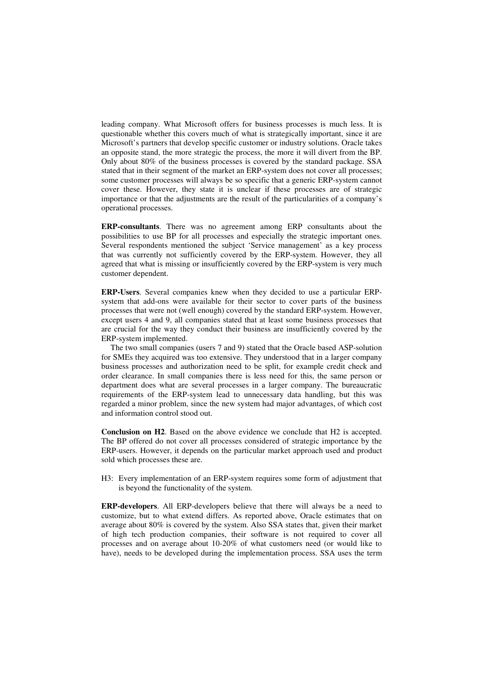leading company. What Microsoft offers for business processes is much less. It is questionable whether this covers much of what is strategically important, since it are Microsoft's partners that develop specific customer or industry solutions. Oracle takes an opposite stand, the more strategic the process, the more it will divert from the BP. Only about 80% of the business processes is covered by the standard package. SSA stated that in their segment of the market an ERP-system does not cover all processes; some customer processes will always be so specific that a generic ERP-system cannot cover these. However, they state it is unclear if these processes are of strategic importance or that the adjustments are the result of the particularities of a company's operational processes.

**ERP-consultants**. There was no agreement among ERP consultants about the possibilities to use BP for all processes and especially the strategic important ones. Several respondents mentioned the subject 'Service management' as a key process that was currently not sufficiently covered by the ERP-system. However, they all agreed that what is missing or insufficiently covered by the ERP-system is very much customer dependent.

**ERP-Users**. Several companies knew when they decided to use a particular ERPsystem that add-ons were available for their sector to cover parts of the business processes that were not (well enough) covered by the standard ERP-system. However, except users 4 and 9, all companies stated that at least some business processes that are crucial for the way they conduct their business are insufficiently covered by the ERP-system implemented.

The two small companies (users 7 and 9) stated that the Oracle based ASP-solution for SMEs they acquired was too extensive. They understood that in a larger company business processes and authorization need to be split, for example credit check and order clearance. In small companies there is less need for this, the same person or department does what are several processes in a larger company. The bureaucratic requirements of the ERP-system lead to unnecessary data handling, but this was regarded a minor problem, since the new system had major advantages, of which cost and information control stood out.

**Conclusion on H2**. Based on the above evidence we conclude that H2 is accepted. The BP offered do not cover all processes considered of strategic importance by the ERP-users. However, it depends on the particular market approach used and product sold which processes these are.

H3: Every implementation of an ERP-system requires some form of adjustment that is beyond the functionality of the system.

**ERP-developers**. All ERP-developers believe that there will always be a need to customize, but to what extend differs. As reported above, Oracle estimates that on average about 80% is covered by the system. Also SSA states that, given their market of high tech production companies, their software is not required to cover all processes and on average about 10-20% of what customers need (or would like to have), needs to be developed during the implementation process. SSA uses the term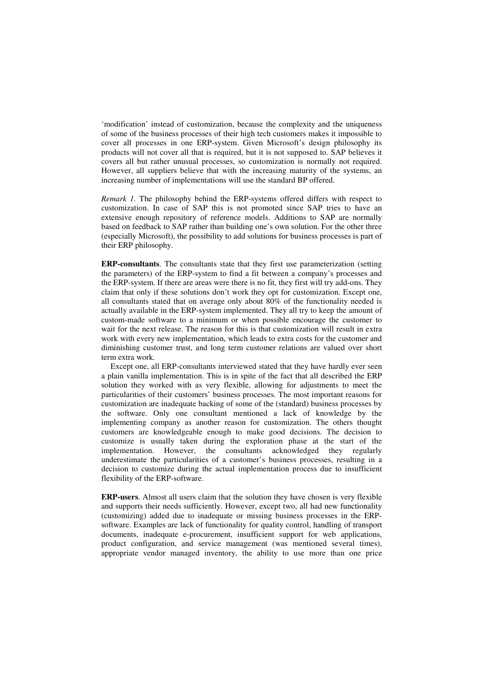'modification' instead of customization, because the complexity and the uniqueness of some of the business processes of their high tech customers makes it impossible to cover all processes in one ERP-system. Given Microsoft's design philosophy its products will not cover all that is required, but it is not supposed to. SAP believes it covers all but rather unusual processes, so customization is normally not required. However, all suppliers believe that with the increasing maturity of the systems, an increasing number of implementations will use the standard BP offered.

*Remark 1.* The philosophy behind the ERP-systems offered differs with respect to customization. In case of SAP this is not promoted since SAP tries to have an extensive enough repository of reference models. Additions to SAP are normally based on feedback to SAP rather than building one's own solution. For the other three (especially Microsoft), the possibility to add solutions for business processes is part of their ERP philosophy.

**ERP-consultants**. The consultants state that they first use parameterization (setting the parameters) of the ERP-system to find a fit between a company's processes and the ERP-system. If there are areas were there is no fit, they first will try add-ons. They claim that only if these solutions don't work they opt for customization. Except one, all consultants stated that on average only about 80% of the functionality needed is actually available in the ERP-system implemented. They all try to keep the amount of custom-made software to a minimum or when possible encourage the customer to wait for the next release. The reason for this is that customization will result in extra work with every new implementation, which leads to extra costs for the customer and diminishing customer trust, and long term customer relations are valued over short term extra work.

Except one, all ERP-consultants interviewed stated that they have hardly ever seen a plain vanilla implementation. This is in spite of the fact that all described the ERP solution they worked with as very flexible, allowing for adjustments to meet the particularities of their customers' business processes. The most important reasons for customization are inadequate backing of some of the (standard) business processes by the software. Only one consultant mentioned a lack of knowledge by the implementing company as another reason for customization. The others thought customers are knowledgeable enough to make good decisions. The decision to customize is usually taken during the exploration phase at the start of the implementation. However, the consultants acknowledged they regularly underestimate the particularities of a customer's business processes, resulting in a decision to customize during the actual implementation process due to insufficient flexibility of the ERP-software.

**ERP-users**. Almost all users claim that the solution they have chosen is very flexible and supports their needs sufficiently. However, except two, all had new functionality (customizing) added due to inadequate or missing business processes in the ERPsoftware. Examples are lack of functionality for quality control, handling of transport documents, inadequate e-procurement, insufficient support for web applications, product configuration, and service management (was mentioned several times), appropriate vendor managed inventory, the ability to use more than one price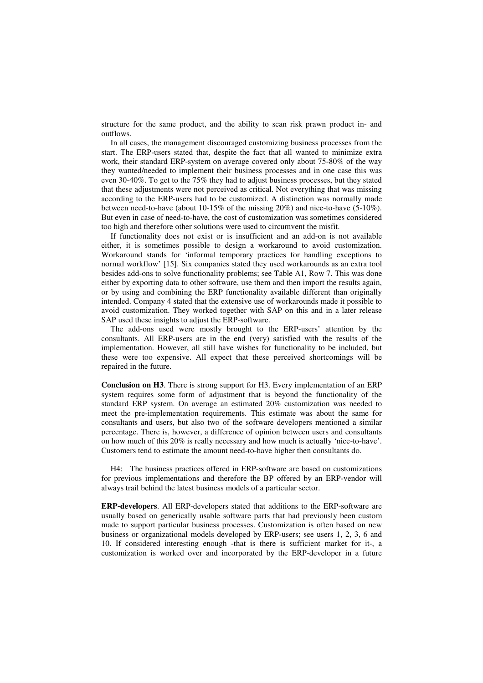structure for the same product, and the ability to scan risk prawn product in- and outflows.

In all cases, the management discouraged customizing business processes from the start. The ERP-users stated that, despite the fact that all wanted to minimize extra work, their standard ERP-system on average covered only about 75-80% of the way they wanted/needed to implement their business processes and in one case this was even 30-40%. To get to the 75% they had to adjust business processes, but they stated that these adjustments were not perceived as critical. Not everything that was missing according to the ERP-users had to be customized. A distinction was normally made between need-to-have (about 10-15% of the missing 20%) and nice-to-have (5-10%). But even in case of need-to-have, the cost of customization was sometimes considered too high and therefore other solutions were used to circumvent the misfit.

If functionality does not exist or is insufficient and an add-on is not available either, it is sometimes possible to design a workaround to avoid customization. Workaround stands for 'informal temporary practices for handling exceptions to normal workflow' [15]. Six companies stated they used workarounds as an extra tool besides add-ons to solve functionality problems; see Table A1, Row 7. This was done either by exporting data to other software, use them and then import the results again, or by using and combining the ERP functionality available different than originally intended. Company 4 stated that the extensive use of workarounds made it possible to avoid customization. They worked together with SAP on this and in a later release SAP used these insights to adjust the ERP-software.

The add-ons used were mostly brought to the ERP-users' attention by the consultants. All ERP-users are in the end (very) satisfied with the results of the implementation. However, all still have wishes for functionality to be included, but these were too expensive. All expect that these perceived shortcomings will be repaired in the future.

**Conclusion on H3**. There is strong support for H3. Every implementation of an ERP system requires some form of adjustment that is beyond the functionality of the standard ERP system. On average an estimated 20% customization was needed to meet the pre-implementation requirements. This estimate was about the same for consultants and users, but also two of the software developers mentioned a similar percentage. There is, however, a difference of opinion between users and consultants on how much of this 20% is really necessary and how much is actually 'nice-to-have'. Customers tend to estimate the amount need-to-have higher then consultants do.

H4: The business practices offered in ERP-software are based on customizations for previous implementations and therefore the BP offered by an ERP-vendor will always trail behind the latest business models of a particular sector.

**ERP-developers**. All ERP-developers stated that additions to the ERP-software are usually based on generically usable software parts that had previously been custom made to support particular business processes. Customization is often based on new business or organizational models developed by ERP-users; see users 1, 2, 3, 6 and 10. If considered interesting enough -that is there is sufficient market for it-, a customization is worked over and incorporated by the ERP-developer in a future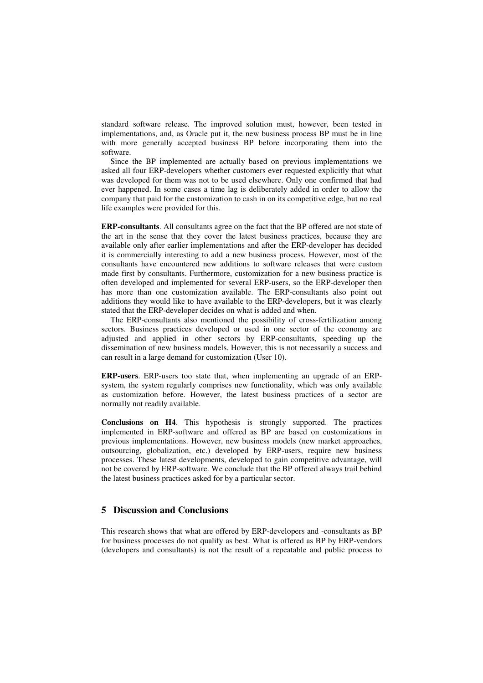standard software release. The improved solution must, however, been tested in implementations, and, as Oracle put it, the new business process BP must be in line with more generally accepted business BP before incorporating them into the software.

Since the BP implemented are actually based on previous implementations we asked all four ERP-developers whether customers ever requested explicitly that what was developed for them was not to be used elsewhere. Only one confirmed that had ever happened. In some cases a time lag is deliberately added in order to allow the company that paid for the customization to cash in on its competitive edge, but no real life examples were provided for this.

**ERP-consultants**. All consultants agree on the fact that the BP offered are not state of the art in the sense that they cover the latest business practices, because they are available only after earlier implementations and after the ERP-developer has decided it is commercially interesting to add a new business process. However, most of the consultants have encountered new additions to software releases that were custom made first by consultants. Furthermore, customization for a new business practice is often developed and implemented for several ERP-users, so the ERP-developer then has more than one customization available. The ERP-consultants also point out additions they would like to have available to the ERP-developers, but it was clearly stated that the ERP-developer decides on what is added and when.

The ERP-consultants also mentioned the possibility of cross-fertilization among sectors. Business practices developed or used in one sector of the economy are adjusted and applied in other sectors by ERP-consultants, speeding up the dissemination of new business models. However, this is not necessarily a success and can result in a large demand for customization (User 10).

**ERP-users**. ERP-users too state that, when implementing an upgrade of an ERPsystem, the system regularly comprises new functionality, which was only available as customization before. However, the latest business practices of a sector are normally not readily available.

**Conclusions on H4**. This hypothesis is strongly supported. The practices implemented in ERP-software and offered as BP are based on customizations in previous implementations. However, new business models (new market approaches, outsourcing, globalization, etc.) developed by ERP-users, require new business processes. These latest developments, developed to gain competitive advantage, will not be covered by ERP-software. We conclude that the BP offered always trail behind the latest business practices asked for by a particular sector.

#### **5 Discussion and Conclusions**

This research shows that what are offered by ERP-developers and -consultants as BP for business processes do not qualify as best. What is offered as BP by ERP-vendors (developers and consultants) is not the result of a repeatable and public process to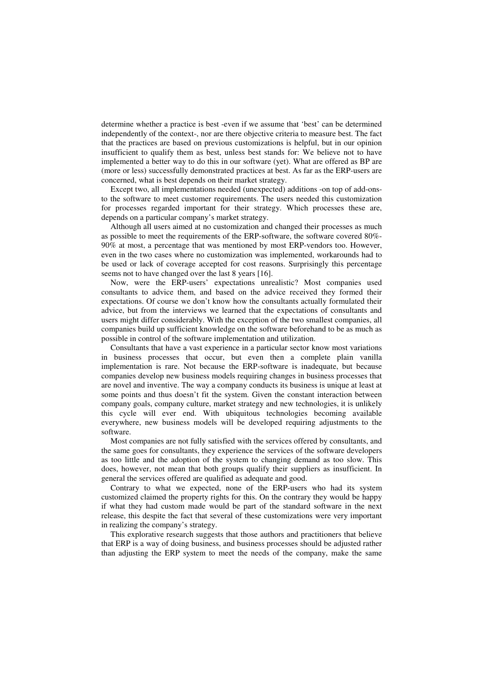determine whether a practice is best -even if we assume that 'best' can be determined independently of the context-, nor are there objective criteria to measure best. The fact that the practices are based on previous customizations is helpful, but in our opinion insufficient to qualify them as best, unless best stands for: We believe not to have implemented a better way to do this in our software (yet). What are offered as BP are (more or less) successfully demonstrated practices at best. As far as the ERP-users are concerned, what is best depends on their market strategy.

Except two, all implementations needed (unexpected) additions -on top of add-onsto the software to meet customer requirements. The users needed this customization for processes regarded important for their strategy. Which processes these are, depends on a particular company's market strategy.

Although all users aimed at no customization and changed their processes as much as possible to meet the requirements of the ERP-software, the software covered 80%- 90% at most, a percentage that was mentioned by most ERP-vendors too. However, even in the two cases where no customization was implemented, workarounds had to be used or lack of coverage accepted for cost reasons. Surprisingly this percentage seems not to have changed over the last 8 years [16].

Now, were the ERP-users' expectations unrealistic? Most companies used consultants to advice them, and based on the advice received they formed their expectations. Of course we don't know how the consultants actually formulated their advice, but from the interviews we learned that the expectations of consultants and users might differ considerably. With the exception of the two smallest companies, all companies build up sufficient knowledge on the software beforehand to be as much as possible in control of the software implementation and utilization.

Consultants that have a vast experience in a particular sector know most variations in business processes that occur, but even then a complete plain vanilla implementation is rare. Not because the ERP-software is inadequate, but because companies develop new business models requiring changes in business processes that are novel and inventive. The way a company conducts its business is unique at least at some points and thus doesn't fit the system. Given the constant interaction between company goals, company culture, market strategy and new technologies, it is unlikely this cycle will ever end. With ubiquitous technologies becoming available everywhere, new business models will be developed requiring adjustments to the software.

Most companies are not fully satisfied with the services offered by consultants, and the same goes for consultants, they experience the services of the software developers as too little and the adoption of the system to changing demand as too slow. This does, however, not mean that both groups qualify their suppliers as insufficient. In general the services offered are qualified as adequate and good.

Contrary to what we expected, none of the ERP-users who had its system customized claimed the property rights for this. On the contrary they would be happy if what they had custom made would be part of the standard software in the next release, this despite the fact that several of these customizations were very important in realizing the company's strategy.

This explorative research suggests that those authors and practitioners that believe that ERP is a way of doing business, and business processes should be adjusted rather than adjusting the ERP system to meet the needs of the company, make the same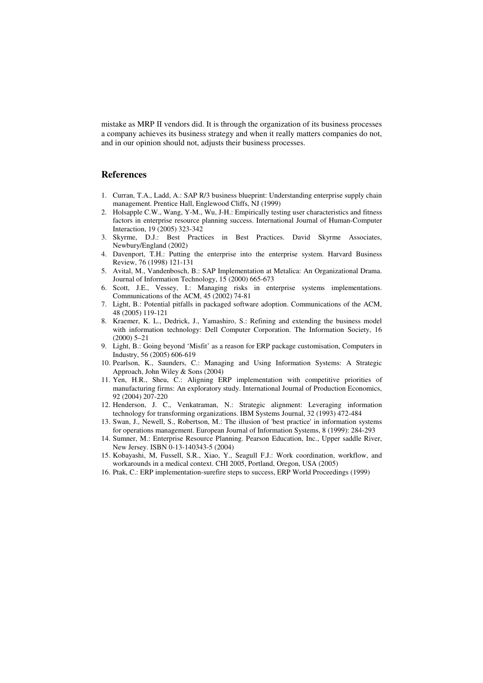mistake as MRP II vendors did. It is through the organization of its business processes a company achieves its business strategy and when it really matters companies do not, and in our opinion should not, adjusts their business processes.

#### **References**

- 1. Curran, T.A., Ladd, A.: SAP R/3 business blueprint: Understanding enterprise supply chain management. Prentice Hall, Englewood Cliffs, NJ (1999)
- 2. Holsapple C.W., Wang, Y-M., Wu, J-H.: Empirically testing user characteristics and fitness factors in enterprise resource planning success. International Journal of Human-Computer Interaction, 19 (2005) 323-342
- 3. Skyrme, D.J.: Best Practices in Best Practices. David Skyrme Associates, Newbury/England (2002)
- 4. Davenport, T.H.: Putting the enterprise into the enterprise system. Harvard Business Review, 76 (1998) 121-131
- 5. Avital, M., Vandenbosch, B.: SAP Implementation at Metalica: An Organizational Drama. Journal of Information Technology, 15 (2000) 665-673
- 6. Scott, J.E., Vessey, I.: Managing risks in enterprise systems implementations. Communications of the ACM, 45 (2002) 74-81
- 7. Light, B.: Potential pitfalls in packaged software adoption. Communications of the ACM, 48 (2005) 119-121
- 8. Kraemer, K. L., Dedrick, J., Yamashiro, S.: Refining and extending the business model with information technology: Dell Computer Corporation. The Information Society, 16 (2000) 5–21
- 9. Light, B.: Going beyond 'Misfit' as a reason for ERP package customisation, Computers in Industry, 56 (2005) 606-619
- 10. Pearlson, K., Saunders, C.: Managing and Using Information Systems: A Strategic Approach, John Wiley & Sons (2004)
- 11. Yen, H.R., Sheu, C.: Aligning ERP implementation with competitive priorities of manufacturing firms: An exploratory study. International Journal of Production Economics, 92 (2004) 207-220
- 12. Henderson, J. C., Venkatraman, N.: Strategic alignment: Leveraging information technology for transforming organizations. IBM Systems Journal, 32 (1993) 472-484
- 13. Swan, J., Newell, S., Robertson, M.: The illusion of 'best practice' in information systems for operations management. European Journal of Information Systems, 8 (1999): 284-293
- 14. Sumner, M.: Enterprise Resource Planning. Pearson Education, Inc., Upper saddle River, New Jersey. ISBN 0-13-140343-5 (2004)
- 15. Kobayashi, M, Fussell, S.R., Xiao, Y., Seagull F.J.: Work coordination, workflow, and workarounds in a medical context. CHI 2005, Portland, Oregon, USA (2005)
- 16. Ptak, C.: ERP implementation-surefire steps to success, ERP World Proceedings (1999)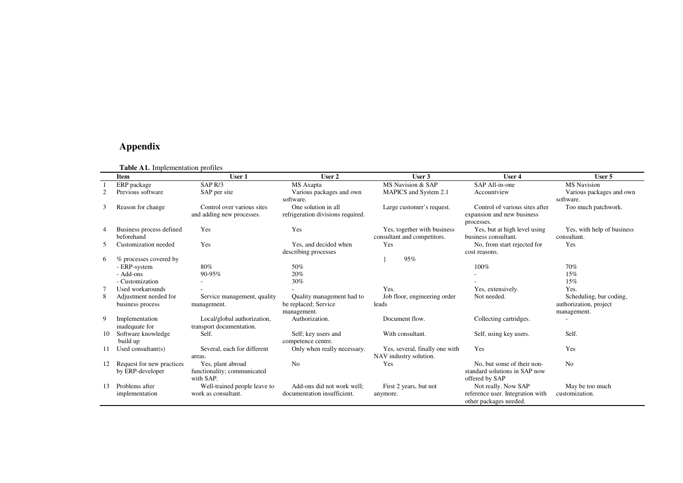#### **Appendix**

|    | <b>Table A1.</b> Implementation profiles |                              |                                   |                                |                                  |                            |  |  |  |
|----|------------------------------------------|------------------------------|-----------------------------------|--------------------------------|----------------------------------|----------------------------|--|--|--|
|    | Item                                     | User 1                       | User 2                            | User 3                         | User 4                           | User 5                     |  |  |  |
|    | ERP package                              | SAP <sub>R/3</sub>           | MS Axapta                         | MS Navision & SAP              | SAP All-in-one                   | <b>MS</b> Navision         |  |  |  |
|    | Previous software                        | SAP per site                 | Various packages and own          | MAPICS and System 2.1          | Accountview                      | Various packages and own   |  |  |  |
|    |                                          |                              | software.                         |                                |                                  | software.                  |  |  |  |
| 3  | Reason for change                        | Control over various sites   | One solution in all               | Large customer's request.      | Control of various sites after   | Too much patchwork.        |  |  |  |
|    |                                          | and adding new processes.    | refrigeration divisions required. |                                | expansion and new business       |                            |  |  |  |
|    |                                          |                              |                                   |                                | processes.                       |                            |  |  |  |
| 4  | Business process defined                 | Yes                          | Yes                               | Yes, together with business    | Yes, but at high level using     | Yes, with help of business |  |  |  |
|    | beforehand                               |                              |                                   | consultant and competitors.    | business consultant.             | consultant.                |  |  |  |
| 5  | Customization needed                     | Yes                          | Yes, and decided when             | Yes                            | No, from start rejected for      | Yes                        |  |  |  |
|    |                                          |                              | describing processes              |                                | cost reasons.                    |                            |  |  |  |
| 6  | % processes covered by                   |                              |                                   | 95%                            |                                  |                            |  |  |  |
|    | - ERP-system                             | 80%                          | 50%                               |                                | 100%                             | 70%                        |  |  |  |
|    | - Add-ons                                | 90-95%                       | 20%                               |                                |                                  | 15%                        |  |  |  |
|    | - Customization                          |                              | 30%                               |                                |                                  | 15%                        |  |  |  |
|    | Used workarounds                         |                              |                                   | Yes.                           | Yes, extensively.                | Yes.                       |  |  |  |
| 8  | Adjustment needed for                    | Service management, quality  | Quality management had to         | Job floor, engineering order   | Not needed.                      | Scheduling, bar coding,    |  |  |  |
|    | business process                         | management.                  | be replaced; Service              | leads                          |                                  | authorization, project     |  |  |  |
|    |                                          |                              | management.                       |                                |                                  | management.                |  |  |  |
| 9  | Implementation                           | Local/global authorization,  | Authorization.                    | Document flow.                 | Collecting cartridges.           |                            |  |  |  |
|    | inadequate for                           | transport documentation.     |                                   |                                |                                  |                            |  |  |  |
| 10 | Software knowledge                       | Self.                        | Self; key users and               | With consultant.               | Self, using key users.           | Self.                      |  |  |  |
|    | build up                                 |                              | competence centre.                |                                |                                  |                            |  |  |  |
| 11 | Used consultant $(s)$                    | Several, each for different  | Only when really necessary.       | Yes, several, finally one with | Yes                              | Yes                        |  |  |  |
|    |                                          | areas.                       |                                   | NAV industry solution.         |                                  |                            |  |  |  |
|    | Request for new practices                | Yes, plant abroad            | N <sub>o</sub>                    | Yes                            | No, but some of their non-       | N <sub>o</sub>             |  |  |  |
|    | by ERP-developer                         | functionality; communicated  |                                   |                                | standard solutions in SAP now    |                            |  |  |  |
|    |                                          | with SAP.                    |                                   |                                | offered by SAP                   |                            |  |  |  |
| 13 | Problems after                           | Well-trained people leave to | Add-ons did not work well:        | First 2 years, but not         | Not really. Now SAP              | May be too much            |  |  |  |
|    | implementation                           | work as consultant.          | documentation insufficient.       | anymore.                       | reference user. Integration with | customization.             |  |  |  |
|    |                                          |                              |                                   |                                | other packages needed.           |                            |  |  |  |